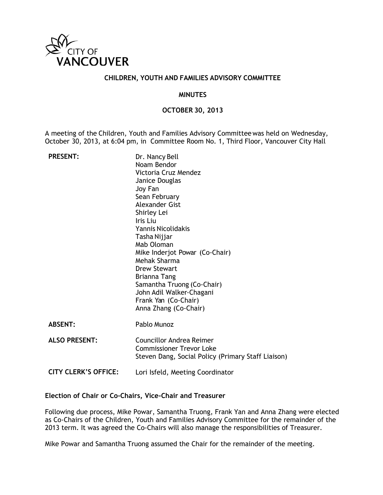

#### **CHILDREN, YOUTH AND FAMILIES ADVISORY COMMITTEE**

#### **MINUTES**

### **OCTOBER 30, 2013**

A meeting of the Children, Youth and Families Advisory Committeewas held on Wednesday, October 30, 2013, at 6:04 pm, in Committee Room No. 1, Third Floor, Vancouver City Hall

| <b>PRESENT:</b>             | Dr. Nancy Bell                                     |
|-----------------------------|----------------------------------------------------|
|                             | Noam Bendor                                        |
|                             | Victoria Cruz Mendez                               |
|                             | Janice Douglas                                     |
|                             | Joy Fan                                            |
|                             | Sean February                                      |
|                             | Alexander Gist                                     |
|                             | Shirley Lei                                        |
|                             | Iris Liu                                           |
|                             | <b>Yannis Nicolidakis</b>                          |
|                             | Tasha Nijjar                                       |
|                             | Mab Oloman                                         |
|                             | Mike Inderjot Powar (Co-Chair)                     |
|                             | Mehak Sharma                                       |
|                             | <b>Drew Stewart</b>                                |
|                             | <b>Brianna Tang</b>                                |
|                             | Samantha Truong (Co-Chair)                         |
|                             | John Adil Walker-Chagani                           |
|                             | Frank Yan (Co-Chair)                               |
|                             | Anna Zhang (Co-Chair)                              |
| <b>ABSENT:</b>              | Pablo Munoz                                        |
| <b>ALSO PRESENT:</b>        | <b>Councillor Andrea Reimer</b>                    |
|                             | <b>Commissioner Trevor Loke</b>                    |
|                             | Steven Dang, Social Policy (Primary Staff Liaison) |
|                             |                                                    |
| <b>CITY CLERK'S OFFICE:</b> | Lori Isfeld, Meeting Coordinator                   |
|                             |                                                    |

### **Election of Chair or Co-Chairs, Vice-Chair and Treasurer**

Following due process, Mike Powar, Samantha Truong, Frank Yan and Anna Zhang were elected as Co-Chairs of the Children, Youth and Families Advisory Committee for the remainder of the 2013 term. It was agreed the Co-Chairs will also manage the responsibilities of Treasurer.

Mike Powar and Samantha Truong assumed the Chair for the remainder of the meeting.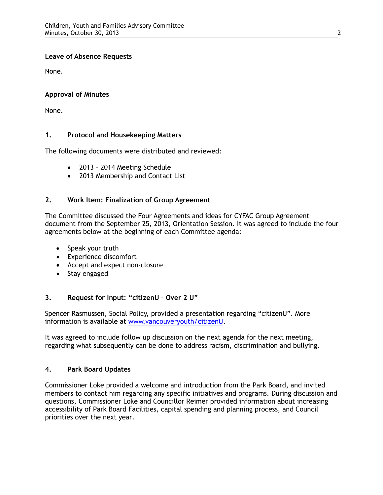## **Leave of Absence Requests**

None.

# **Approval of Minutes**

None.

# **1. Protocol and Housekeeping Matters**

The following documents were distributed and reviewed:

- 2013 2014 Meeting Schedule
- 2013 Membership and Contact List

# **2. Work Item: Finalization of Group Agreement**

The Committee discussed the Four Agreements and ideas for CYFAC Group Agreement document from the September 25, 2013, Orientation Session. It was agreed to include the four agreements below at the beginning of each Committee agenda:

- Speak your truth
- Experience discomfort
- Accept and expect non-closure
- Stay engaged

# **3. Request for Input: "citizenU – Over 2 U"**

Spencer Rasmussen, Social Policy, provided a presentation regarding "citizenU". More information is available at [www.vancouveryouth/citizenU.](http://www.vancouveryouth/citizenU)

It was agreed to include follow up discussion on the next agenda for the next meeting, regarding what subsequently can be done to address racism, discrimination and bullying.

## **4. Park Board Updates**

Commissioner Loke provided a welcome and introduction from the Park Board, and invited members to contact him regarding any specific initiatives and programs. During discussion and questions, Commissioner Loke and Councillor Reimer provided information about increasing accessibility of Park Board Facilities, capital spending and planning process, and Council priorities over the next year.